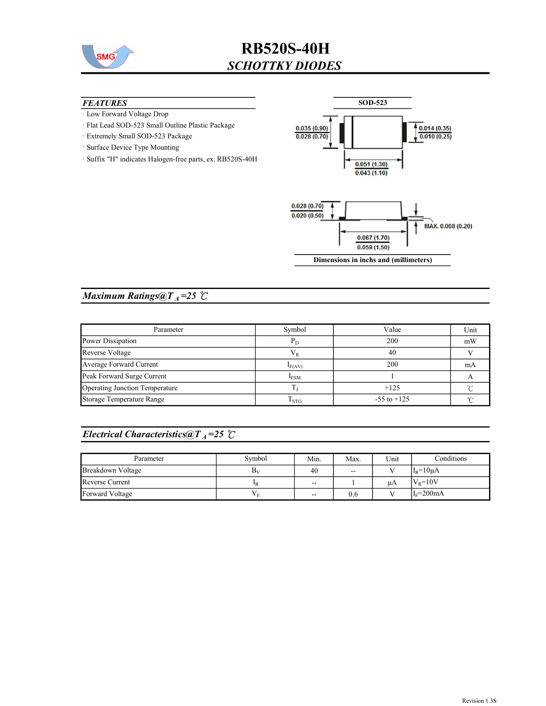

## RB520S-40H SCHOTTKY DIODES

#### **FEATURES**

- · Low Forward Voltage Drop
- · Flat Lead SOD-523 Small Outline Plastic Package
- · Extremely Small SOD-523 Package
- · Surface Device Type Mounting
- · Suffix "H" indicates Halogen-free parts, ex. RB520S-40H



Dimensions in inchs and (millimeters)

### Maximum Ratings@ $T_A = 25$  °C

| Parameter                      | Symbol           | Value           | Unit |
|--------------------------------|------------------|-----------------|------|
| Power Dissipation              | $P_D$            | 200             | mW   |
| Reverse Voltage                | $V_{R}$          | 40              |      |
| Average Forward Current        | $I_{F(AV)}$      | 200             | mA   |
| Peak Forward Surge Current     | $I_{FSM}$        |                 |      |
| Operating Junction Temperature |                  | $+125$          |      |
| Storage Temperature Range      | 1 <sub>STG</sub> | $-55$ to $+125$ |      |

### Electrical Characteristics@T<sub>A</sub>=25  $\mathcal{C}$

| Parameter         | Symbol         | Min.              | Max. | Unit | Conditions    |
|-------------------|----------------|-------------------|------|------|---------------|
| Breakdown Voltage | Βv             | 40                | $-$  |      | $IR=10\mu A$  |
| Reverse Current   | ₽R             | $\sim$ $\sim$     |      | иA   | $V_R = 10V$   |
| Forward Voltage   | V <sub>E</sub> | $\hspace{0.05cm}$ | 0.6  |      | $I_F = 200mA$ |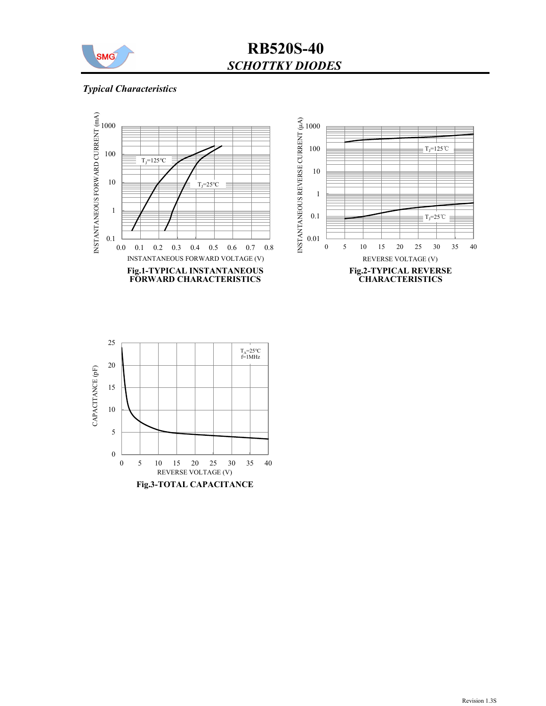

## RB520S-40 SCHOTTKY DIODES

### Typical Characteristics